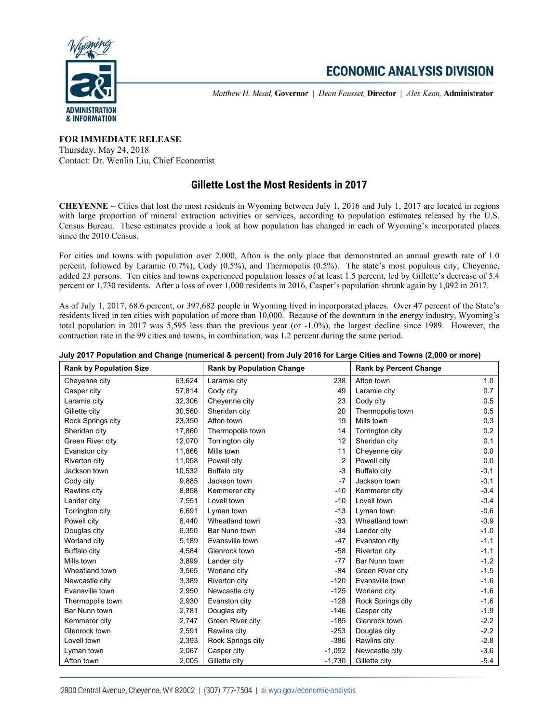

# **ECONOMIC ANALYSIS DIVISION**

Matthew H. Mead, Governor | Dean Fausset, Director | Alex Kean, Administrator

### **FOR IMMEDIATE RELEASE** Thursday, May 24, 2018 Contact: Dr. Wenlin Liu, Chief Economist

## **Gillette Lost the Most Residents in 2017**

**CHEYENNE** – Cities that lost the most residents in Wyoming between July 1, 2016 and July 1, 2017 are located in regions with large proportion of mineral extraction activities or services, according to population estimates released by the U.S. Census Bureau. These estimates provide a look at how population has changed in each of Wyoming's incorporated places since the 2010 Census.

For cities and towns with population over 2,000, Afton is the only place that demonstrated an annual growth rate of 1.0 percent, followed by Laramie (0.7%), Cody (0.5%), and Thermopolis (0.5%). The state's most populous city, Cheyenne, added 23 persons. Ten cities and towns experienced population losses of at least 1.5 percent, led by Gillette's decrease of 5.4 percent or 1,730 residents. After a loss of over 1,000 residents in 2016, Casper's population shrunk again by 1,092 in 2017.

As of July 1, 2017, 68.6 percent, or 397,682 people in Wyoming lived in incorporated places. Over 47 percent of the State's residents lived in ten cities with population of more than 10,000. Because of the downturn in the energy industry, Wyoming's total population in 2017 was 5,595 less than the previous year (or -1.0%), the largest decline since 1989. However, the contraction rate in the 99 cities and towns, in combination, was 1.2 percent during the same period.

| <b>Rank by Population Size</b> |        | <b>Rank by Population Change</b> |                | <b>Rank by Percent Change</b> |        |
|--------------------------------|--------|----------------------------------|----------------|-------------------------------|--------|
| Cheyenne city                  | 63,624 | Laramie city                     | 238            | Afton town                    | 1.0    |
| Casper city                    | 57,814 | Cody city                        | 49             | Laramie city                  | 0.7    |
| Laramie city                   | 32,306 | Cheyenne city                    | 23             | Cody city                     | 0.5    |
| Gillette city                  | 30,560 | Sheridan city                    | 20             | Thermopolis town              | 0.5    |
| Rock Springs city              | 23,350 | Afton town                       | 19             | Mills town                    | 0.3    |
| Sheridan city                  | 17,860 | Thermopolis town                 | 14             | Torrington city               | 0.2    |
| Green River city               | 12,070 | Torrington city                  | 12             | Sheridan city                 | 0.1    |
| Evanston city                  | 11,866 | Mills town                       | 11             | Cheyenne city                 | 0.0    |
| Riverton city                  | 11,058 | Powell city                      | $\overline{2}$ | Powell city                   | 0.0    |
| Jackson town                   | 10,532 | <b>Buffalo city</b>              | $-3$           | <b>Buffalo city</b>           | $-0.1$ |
| Cody city                      | 9,885  | Jackson town                     | $-7$           | Jackson town                  | $-0.1$ |
| Rawlins city                   | 8,858  | Kemmerer city                    | $-10$          | Kemmerer city                 | $-0.4$ |
| Lander city                    | 7,551  | Lovell town                      | $-10$          | Lovell town                   | $-0.4$ |
| Torrington city                | 6,691  | Lyman town                       | $-13$          | Lyman town                    | $-0.6$ |
| Powell city                    | 6,440  | Wheatland town                   | $-33$          | Wheatland town                | $-0.9$ |
| Douglas city                   | 6,350  | Bar Nunn town                    | $-34$          | Lander city                   | $-1.0$ |
| Worland city                   | 5,189  | Evansville town                  | $-47$          | Evanston city                 | $-1.1$ |
| <b>Buffalo city</b>            | 4,584  | Glenrock town                    | $-58$          | Riverton city                 | $-1.1$ |
| Mills town                     | 3,899  | Lander city                      | $-77$          | Bar Nunn town                 | $-1.2$ |
| Wheatland town                 | 3,565  | Worland city                     | $-84$          | Green River city              | $-1.5$ |
| Newcastle city                 | 3,389  | Riverton city                    | $-120$         | Evansville town               | $-1.6$ |
| Evansville town                | 2,950  | Newcastle city                   | $-125$         | Worland city                  | $-1.6$ |
| Thermopolis town               | 2,930  | Evanston city                    | $-128$         | Rock Springs city             | $-1.6$ |
| Bar Nunn town                  | 2,781  | Douglas city                     | $-146$         | Casper city                   | $-1.9$ |
| Kemmerer city                  | 2,747  | Green River city                 | $-185$         | Glenrock town                 | $-2.2$ |
| Glenrock town                  | 2,591  | Rawlins city                     | $-253$         | Douglas city                  | $-2.2$ |
| Lovell town                    | 2,393  | Rock Springs city                | $-386$         | Rawlins city                  | $-2.8$ |
| Lyman town                     | 2,067  | Casper city                      | $-1,092$       | Newcastle city                | $-3.6$ |
| Afton town                     | 2,005  | Gillette city                    | $-1,730$       | Gillette city                 | $-5.4$ |

#### **July 2017 Population and Change (numerical & percent) from July 2016 for Large Cities and Towns (2,000 or more)**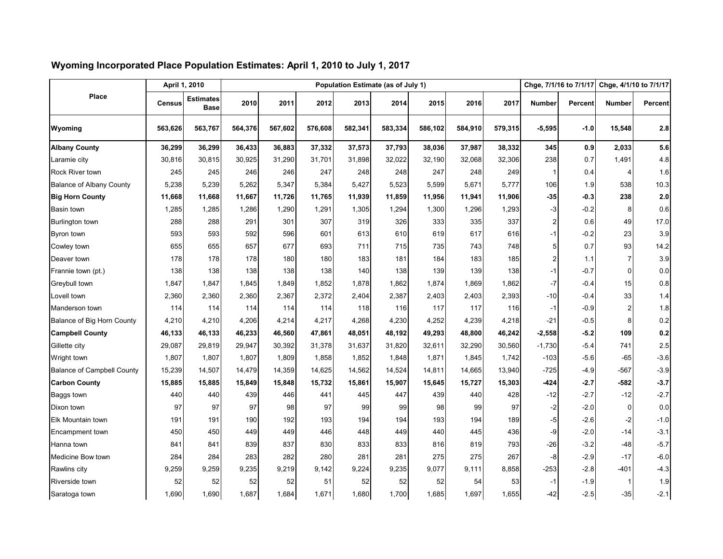|                                   |               | April 1, 2010                   | Population Estimate (as of July 1) |         |         |         |         |         |         |         |                | Chge, 7/1/16 to 7/1/17 |               | Chge, 4/1/10 to 7/1/17 |  |
|-----------------------------------|---------------|---------------------------------|------------------------------------|---------|---------|---------|---------|---------|---------|---------|----------------|------------------------|---------------|------------------------|--|
| Place                             | <b>Census</b> | <b>Estimates</b><br><b>Base</b> | 2010                               | 2011    | 2012    | 2013    | 2014    | 2015    | 2016    | 2017    | <b>Number</b>  | Percent                | <b>Number</b> | <b>Percent</b>         |  |
| Wyoming                           | 563,626       | 563,767                         | 564,376                            | 567,602 | 576,608 | 582,341 | 583,334 | 586,102 | 584,910 | 579,315 | $-5,595$       | $-1.0$                 | 15,548        | 2.8                    |  |
| <b>Albany County</b>              | 36,299        | 36,299                          | 36,433                             | 36,883  | 37,332  | 37,573  | 37,793  | 38,036  | 37,987  | 38,332  | 345            | 0.9                    | 2,033         | 5.6                    |  |
| Laramie city                      | 30,816        | 30,815                          | 30,925                             | 31,290  | 31,701  | 31,898  | 32,022  | 32,190  | 32,068  | 32,306  | 238            | 0.7                    | 1,491         | 4.8                    |  |
| Rock River town                   | 245           | 245                             | 246                                | 246     | 247     | 248     | 248     | 247     | 248     | 249     | -1             | 0.4                    | 4             | 1.6                    |  |
| <b>Balance of Albany County</b>   | 5,238         | 5,239                           | 5,262                              | 5,347   | 5,384   | 5,427   | 5,523   | 5,599   | 5,671   | 5,777   | 106            | 1.9                    | 538           | 10.3                   |  |
| <b>Big Horn County</b>            | 11,668        | 11,668                          | 11,667                             | 11,726  | 11,765  | 11,939  | 11,859  | 11,956  | 11,941  | 11,906  | $-35$          | $-0.3$                 | 238           | 2.0                    |  |
| Basin town                        | 1,285         | 1,285                           | 1,286                              | 1,290   | 1,291   | 1,305   | 1,294   | 1,300   | 1,296   | 1,293   | -3             | $-0.2$                 | 8             | 0.6                    |  |
| <b>Burlington town</b>            | 288           | 288                             | 291                                | 301     | 307     | 319     | 326     | 333     | 335     | 337     | $\overline{2}$ | 0.6                    | 49            | 17.0                   |  |
| Byron town                        | 593           | 593                             | 592                                | 596     | 601     | 613     | 610     | 619     | 617     | 616     | -1             | $-0.2$                 | 23            | 3.9                    |  |
| Cowley town                       | 655           | 655                             | 657                                | 677     | 693     | 711     | 715     | 735     | 743     | 748     | 5              | 0.7                    | 93            | 14.2                   |  |
| Deaver town                       | 178           | 178                             | 178                                | 180     | 180     | 183     | 181     | 184     | 183     | 185     | 2              | 1.1                    | 7             | 3.9                    |  |
| Frannie town (pt.)                | 138           | 138                             | 138                                | 138     | 138     | 140     | 138     | 139     | 139     | 138     | $-1$           | $-0.7$                 | $\Omega$      | 0.0                    |  |
| Greybull town                     | 1,847         | 1,847                           | 1,845                              | 1,849   | 1,852   | 1,878   | 1,862   | 1,874   | 1,869   | 1,862   | $-7$           | $-0.4$                 | 15            | 0.8                    |  |
| Lovell town                       | 2,360         | 2,360                           | 2,360                              | 2,367   | 2,372   | 2,404   | 2,387   | 2,403   | 2,403   | 2,393   | $-10$          | $-0.4$                 | 33            | 1.4                    |  |
| Manderson town                    | 114           | 114                             | 114                                | 114     | 114     | 118     | 116     | 117     | 117     | 116     | $-1$           | $-0.9$                 |               | 1.8                    |  |
| Balance of Big Horn County        | 4,210         | 4,210                           | 4,206                              | 4,214   | 4,217   | 4,268   | 4,230   | 4,252   | 4,239   | 4,218   | $-21$          | $-0.5$                 | 8             | 0.2                    |  |
| <b>Campbell County</b>            | 46,133        | 46,133                          | 46,233                             | 46,560  | 47,861  | 48,051  | 48,192  | 49,293  | 48,800  | 46,242  | $-2,558$       | $-5.2$                 | 109           | 0.2                    |  |
| Gillette city                     | 29,087        | 29,819                          | 29,947                             | 30,392  | 31,378  | 31,637  | 31,820  | 32,611  | 32,290  | 30,560  | $-1,730$       | -5.4                   | 741           | 2.5                    |  |
| Wright town                       | 1,807         | 1,807                           | 1,807                              | 1,809   | 1,858   | 1,852   | 1,848   | 1,871   | 1,845   | 1,742   | $-103$         | $-5.6$                 | $-65$         | $-3.6$                 |  |
| <b>Balance of Campbell County</b> | 15,239        | 14,507                          | 14,479                             | 14,359  | 14,625  | 14,562  | 14,524  | 14,811  | 14,665  | 13,940  | $-725$         | -4.9                   | $-567$        | $-3.9$                 |  |
| <b>Carbon County</b>              | 15,885        | 15,885                          | 15,849                             | 15,848  | 15,732  | 15,861  | 15,907  | 15,645  | 15,727  | 15,303  | $-424$         | $-2.7$                 | $-582$        | $-3.7$                 |  |
| Baggs town                        | 440           | 440                             | 439                                | 446     | 441     | 445     | 447     | 439     | 440     | 428     | $-12$          | $-2.7$                 | $-12$         | $-2.7$                 |  |
| Dixon town                        | 97            | 97                              | 97                                 | 98      | 97      | 99      | 99      | 98      | 99      | 97      | $-2$           | $-2.0$                 | $\Omega$      | 0.0                    |  |
| Elk Mountain town                 | 191           | 191                             | 190                                | 192     | 193     | 194     | 194     | 193     | 194     | 189     | -5             | $-2.6$                 | $-2$          | $-1.0$                 |  |
| Encampment town                   | 450           | 450                             | 449                                | 449     | 446     | 448     | 449     | 440     | 445     | 436     | -9             | $-2.0$                 | $-14$         | $-3.1$                 |  |
| Hanna town                        | 841           | 841                             | 839                                | 837     | 830     | 833     | 833     | 816     | 819     | 793     | $-26$          | $-3.2$                 | $-48$         | $-5.7$                 |  |
| Medicine Bow town                 | 284           | 284                             | 283                                | 282     | 280     | 281     | 281     | 275     | 275     | 267     | -8             | $-2.9$                 | $-17$         | $-6.0$                 |  |
| Rawlins city                      | 9,259         | 9,259                           | 9,235                              | 9,219   | 9,142   | 9,224   | 9,235   | 9,077   | 9.111   | 8,858   | $-253$         | $-2.8$                 | $-401$        | $-4.3$                 |  |
| Riverside town                    | 52            | 52                              | 52                                 | 52      | 51      | 52      | 52      | 52      | 54      | 53      | $-1$           | -1.9                   |               | 1.9                    |  |
| Saratoga town                     | 1.690         | 1,690                           | 1,687                              | 1.684   | 1,671   | 1,680   | 1,700   | 1,685   | 1,697   | 1,655   | $-42$          | $-2.5$                 | $-35$         | $-2.1$                 |  |

### **Wyoming Incorporated Place Population Estimates: April 1, 2010 to July 1, 2017**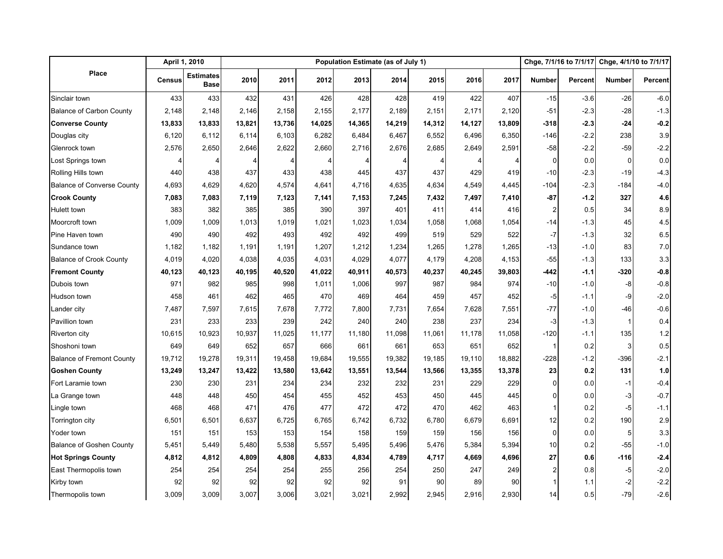|                                   | April 1, 2010 |                                 | Population Estimate (as of July 1) |        |        |        |        |        |        |        |                | Chge, 7/1/16 to 7/1/17 |               | Chge, 4/1/10 to 7/1/17 |  |
|-----------------------------------|---------------|---------------------------------|------------------------------------|--------|--------|--------|--------|--------|--------|--------|----------------|------------------------|---------------|------------------------|--|
| Place                             | Census        | <b>Estimates</b><br><b>Base</b> | 2010                               | 2011   | 2012   | 2013   | 2014   | 2015   | 2016   | 2017   | <b>Number</b>  | <b>Percent</b>         | <b>Number</b> | Percent                |  |
| Sinclair town                     | 433           | 433                             | 432                                | 431    | 426    | 428    | 428    | 419    | 422    | 407    | $-15$          | $-3.6$                 | $-26$         | $-6.0$                 |  |
| <b>Balance of Carbon County</b>   | 2,148         | 2,148                           | 2,146                              | 2,158  | 2,155  | 2,177  | 2,189  | 2,151  | 2,171  | 2,120  | $-51$          | $-2.3$                 | $-28$         | $-1.3$                 |  |
| <b>Converse County</b>            | 13,833        | 13,833                          | 13,821                             | 13,736 | 14,025 | 14,365 | 14,219 | 14,312 | 14,127 | 13,809 | $-318$         | $-2.3$                 | $-24$         | $-0.2$                 |  |
| Douglas city                      | 6,120         | 6,112                           | 6,114                              | 6,103  | 6,282  | 6,484  | 6,467  | 6,552  | 6,496  | 6,350  | -146           | $-2.2$                 | 238           | 3.9                    |  |
| Glenrock town                     | 2,576         | 2,650                           | 2,646                              | 2,622  | 2,660  | 2,716  | 2,676  | 2,685  | 2,649  | 2,591  | $-58$          | $-2.2$                 | $-59$         | $-2.2$                 |  |
| Lost Springs town                 |               | 4                               |                                    |        |        | 4      |        |        |        |        | 0              | 0.0                    | $\mathbf 0$   | 0.0                    |  |
| Rolling Hills town                | 440           | 438                             | 437                                | 433    | 438    | 445    | 437    | 437    | 429    | 419    | $-10$          | $-2.3$                 | $-19$         | $-4.3$                 |  |
| <b>Balance of Converse County</b> | 4,693         | 4,629                           | 4,620                              | 4,574  | 4,641  | 4,716  | 4,635  | 4,634  | 4,549  | 4,445  | $-104$         | $-2.3$                 | $-184$        | $-4.0$                 |  |
| <b>Crook County</b>               | 7,083         | 7,083                           | 7,119                              | 7,123  | 7,141  | 7,153  | 7,245  | 7,432  | 7,497  | 7,410  | $-87$          | $-1.2$                 | 327           | 4.6                    |  |
| Hulett town                       | 383           | 382                             | 385                                | 385    | 390    | 397    | 401    | 411    | 414    | 416    | $\overline{c}$ | 0.5                    | 34            | 8.9                    |  |
| Moorcroft town                    | 1,009         | 1,009                           | 1,013                              | 1,019  | 1,021  | 1,023  | 1,034  | 1,058  | 1,068  | 1,054  | $-14$          | $-1.3$                 | 45            | 4.5                    |  |
| Pine Haven town                   | 490           | 490                             | 492                                | 493    | 492    | 492    | 499    | 519    | 529    | 522    | $-7$           | $-1.3$                 | 32            | 6.5                    |  |
| Sundance town                     | 1,182         | 1,182                           | 1,191                              | 1,191  | 1,207  | 1,212  | 1,234  | 1,265  | 1,278  | 1,265  | $-13$          | $-1.0$                 | 83            | 7.0                    |  |
| <b>Balance of Crook County</b>    | 4,019         | 4,020                           | 4,038                              | 4,035  | 4,031  | 4,029  | 4,077  | 4,179  | 4,208  | 4,153  | $-55$          | $-1.3$                 | 133           | 3.3                    |  |
| <b>Fremont County</b>             | 40,123        | 40,123                          | 40,195                             | 40,520 | 41,022 | 40,911 | 40,573 | 40,237 | 40,245 | 39,803 | $-442$         | $-1.1$                 | $-320$        | -0.8                   |  |
| Dubois town                       | 971           | 982                             | 985                                | 998    | 1,011  | 1,006  | 997    | 987    | 984    | 974    | $-10$          | $-1.0$                 | -8            | $-0.8$                 |  |
| Hudson town                       | 458           | 461                             | 462                                | 465    | 470    | 469    | 464    | 459    | 457    | 452    | -5             | $-1.1$                 | -9            | $-2.0$                 |  |
| Lander city                       | 7,487         | 7,597                           | 7,615                              | 7,678  | 7,772  | 7,800  | 7,731  | 7,654  | 7,628  | 7,551  | $-77$          | $-1.0$                 | -46           | $-0.6$                 |  |
| Pavillion town                    | 231           | 233                             | 233                                | 239    | 242    | 240    | 240    | 238    | 237    | 234    | $-3$           | $-1.3$                 | $\mathbf{1}$  | 0.4                    |  |
| <b>Riverton city</b>              | 10,615        | 10,923                          | 10,937                             | 11,025 | 11,177 | 11,180 | 11,098 | 11,061 | 11,178 | 11,058 | $-120$         | $-1.1$                 | 135           | 1.2                    |  |
| Shoshoni town                     | 649           | 649                             | 652                                | 657    | 666    | 661    | 661    | 653    | 651    | 652    | $\mathbf{1}$   | 0.2                    | 3             | 0.5                    |  |
| <b>Balance of Fremont County</b>  | 19,712        | 19,278                          | 19,311                             | 19,458 | 19,684 | 19,555 | 19,382 | 19,185 | 19,110 | 18,882 | $-228$         | $-1.2$                 | -396          | $-2.1$                 |  |
| <b>Goshen County</b>              | 13,249        | 13,247                          | 13,422                             | 13,580 | 13,642 | 13,551 | 13,544 | 13,566 | 13,355 | 13,378 | 23             | 0.2                    | 131           | 1.0                    |  |
| Fort Laramie town                 | 230           | 230                             | 231                                | 234    | 234    | 232    | 232    | 231    | 229    | 229    | $\overline{0}$ | 0.0                    | $-1$          | $-0.4$                 |  |
| La Grange town                    | 448           | 448                             | 450                                | 454    | 455    | 452    | 453    | 450    | 445    | 445    | $\mathbf 0$    | 0.0                    | -3            | $-0.7$                 |  |
| Lingle town                       | 468           | 468                             | 471                                | 476    | 477    | 472    | 472    | 470    | 462    | 463    | 1              | 0.2                    | -5            | $-1.1$                 |  |
| Torrington city                   | 6,501         | 6,501                           | 6,637                              | 6,725  | 6,765  | 6,742  | 6,732  | 6,780  | 6,679  | 6,691  | 12             | 0.2                    | 190           | 2.9                    |  |
| Yoder town                        | 151           | 151                             | 153                                | 153    | 154    | 158    | 159    | 159    | 156    | 156    | $\overline{0}$ | 0.0                    | 5             | 3.3                    |  |
| <b>Balance of Goshen County</b>   | 5,451         | 5,449                           | 5,480                              | 5,538  | 5,557  | 5,495  | 5,496  | 5,476  | 5,384  | 5,394  | 10             | 0.2                    | $-55$         | $-1.0$                 |  |
| <b>Hot Springs County</b>         | 4,812         | 4,812                           | 4,809                              | 4,808  | 4,833  | 4,834  | 4,789  | 4,717  | 4,669  | 4,696  | 27             | 0.6                    | $-116$        | $-2.4$                 |  |
| East Thermopolis town             | 254           | 254                             | 254                                | 254    | 255    | 256    | 254    | 250    | 247    | 249    | $\overline{2}$ | 0.8                    | -5            | $-2.0$                 |  |
| Kirby town                        | 92            | 92                              | 92                                 | 92     | 92     | 92     | 91     | 90     | 89     | 90     |                | 1.1                    | $-2$          | $-2.2$                 |  |
| Thermopolis town                  | 3,009         | 3,009                           | 3,007                              | 3,006  | 3,021  | 3,021  | 2,992  | 2,945  | 2,916  | 2,930  | 14             | 0.5                    | $-79$         | $-2.6$                 |  |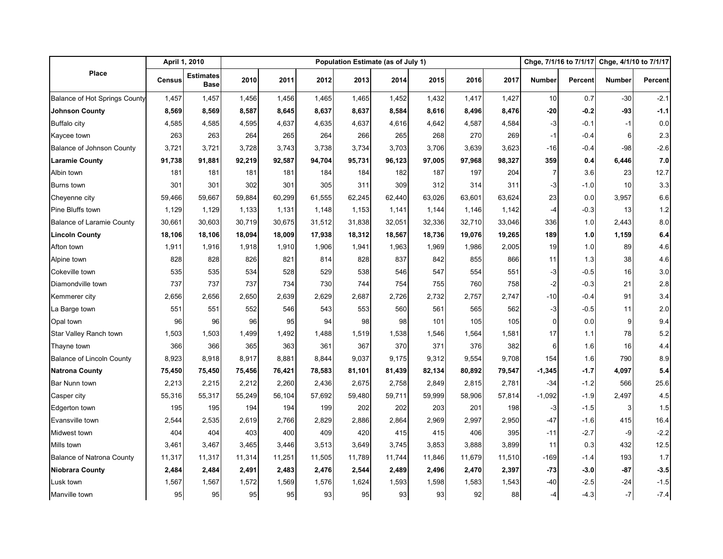|                                      |               | April 1, 2010                   | Population Estimate (as of July 1) |        |        |        |        |        |        |        |                | Chge, 7/1/16 to 7/1/17 |               | Chge, 4/1/10 to 7/1/17 |
|--------------------------------------|---------------|---------------------------------|------------------------------------|--------|--------|--------|--------|--------|--------|--------|----------------|------------------------|---------------|------------------------|
| Place                                | <b>Census</b> | <b>Estimates</b><br><b>Base</b> | 2010                               | 2011   | 2012   | 2013   | 2014   | 2015   | 2016   | 2017   | <b>Number</b>  | <b>Percent</b>         | <b>Number</b> | Percent                |
| <b>Balance of Hot Springs County</b> | 1,457         | 1,457                           | 1,456                              | 1,456  | 1,465  | 1,465  | 1,452  | 1,432  | 1,417  | 1,427  | 10             | 0.7                    | $-30$         | $-2.1$                 |
| <b>Johnson County</b>                | 8,569         | 8,569                           | 8,587                              | 8,645  | 8,637  | 8,637  | 8,584  | 8,616  | 8,496  | 8,476  | $-20$          | $-0.2$                 | -93           | $-1.1$                 |
| <b>Buffalo city</b>                  | 4,585         | 4,585                           | 4,595                              | 4,637  | 4,635  | 4,637  | 4,616  | 4,642  | 4,587  | 4,584  | $-3$           | $-0.1$                 | $-1$          | 0.0                    |
| Kaycee town                          | 263           | 263                             | 264                                | 265    | 264    | 266    | 265    | 268    | 270    | 269    | $-1$           | $-0.4$                 | 6             | 2.3                    |
| <b>Balance of Johnson County</b>     | 3,721         | 3,721                           | 3,728                              | 3,743  | 3,738  | 3,734  | 3,703  | 3,706  | 3,639  | 3,623  | $-16$          | $-0.4$                 | $-98$         | $-2.6$                 |
| <b>Laramie County</b>                | 91,738        | 91,881                          | 92,219                             | 92,587 | 94,704 | 95,731 | 96,123 | 97,005 | 97,968 | 98,327 | 359            | 0.4                    | 6,446         | 7.0                    |
| Albin town                           | 181           | 181                             | 181                                | 181    | 184    | 184    | 182    | 187    | 197    | 204    | $\overline{7}$ | 3.6                    | 23            | 12.7                   |
| <b>Burns</b> town                    | 301           | 301                             | 302                                | 301    | 305    | 311    | 309    | 312    | 314    | 311    | -3             | $-1.0$                 | 10            | 3.3                    |
| Cheyenne city                        | 59,466        | 59,667                          | 59,884                             | 60,299 | 61,555 | 62,245 | 62,440 | 63,026 | 63,601 | 63,624 | 23             | 0.0                    | 3,957         | 6.6                    |
| Pine Bluffs town                     | 1,129         | 1,129                           | 1,133                              | 1,131  | 1,148  | 1,153  | 1,141  | 1,144  | 1,146  | 1,142  | -4             | $-0.3$                 | 13            | 1.2                    |
| <b>Balance of Laramie County</b>     | 30,661        | 30,603                          | 30,719                             | 30,675 | 31,512 | 31,838 | 32,051 | 32,336 | 32,710 | 33,046 | 336            | 1.0                    | 2,443         | 8.0                    |
| <b>Lincoln County</b>                | 18,106        | 18,106                          | 18,094                             | 18,009 | 17,938 | 18,312 | 18,567 | 18,736 | 19,076 | 19,265 | 189            | 1.0                    | 1,159         | 6.4                    |
| Afton town                           | 1,911         | 1,916                           | 1,918                              | 1,910  | 1,906  | 1,941  | 1,963  | 1,969  | 1,986  | 2,005  | 19             | 1.0                    | 89            | 4.6                    |
| Alpine town                          | 828           | 828                             | 826                                | 821    | 814    | 828    | 837    | 842    | 855    | 866    | 11             | 1.3                    | 38            | 4.6                    |
| Cokeville town                       | 535           | 535                             | 534                                | 528    | 529    | 538    | 546    | 547    | 554    | 551    | $-3$           | $-0.5$                 | 16            | 3.0                    |
| Diamondville town                    | 737           | 737                             | 737                                | 734    | 730    | 744    | 754    | 755    | 760    | 758    | -2             | $-0.3$                 | 21            | 2.8                    |
| Kemmerer city                        | 2,656         | 2,656                           | 2,650                              | 2,639  | 2,629  | 2,687  | 2,726  | 2,732  | 2,757  | 2,747  | $-10$          | $-0.4$                 | 91            | 3.4                    |
| La Barge town                        | 551           | 551                             | 552                                | 546    | 543    | 553    | 560    | 561    | 565    | 562    | $-3$           | $-0.5$                 | 11            | 2.0                    |
| Opal town                            | 96            | 96                              | 96                                 | 95     | 94     | 98     | 98     | 101    | 105    | 105    | $\mathbf 0$    | 0.0                    | 9             | 9.4                    |
| Star Valley Ranch town               | 1,503         | 1,503                           | 1,499                              | 1,492  | 1,488  | 1,519  | 1,538  | 1,546  | 1,564  | 1,581  | 17             | 1.1                    | 78            | 5.2                    |
| Thayne town                          | 366           | 366                             | 365                                | 363    | 361    | 367    | 370    | 371    | 376    | 382    | 6              | 1.6                    | 16            | 4.4                    |
| <b>Balance of Lincoln County</b>     | 8,923         | 8,918                           | 8,917                              | 8,881  | 8,844  | 9,037  | 9,175  | 9,312  | 9,554  | 9,708  | 154            | 1.6                    | 790           | 8.9                    |
| <b>Natrona County</b>                | 75,450        | 75,450                          | 75,456                             | 76,421 | 78,583 | 81,101 | 81,439 | 82,134 | 80,892 | 79,547 | $-1,345$       | $-1.7$                 | 4,097         | 5.4                    |
| Bar Nunn town                        | 2,213         | 2,215                           | 2,212                              | 2,260  | 2,436  | 2,675  | 2,758  | 2,849  | 2,815  | 2,781  | $-34$          | $-1.2$                 | 566           | 25.6                   |
| Casper city                          | 55,316        | 55,317                          | 55,249                             | 56,104 | 57,692 | 59,480 | 59,711 | 59,999 | 58,906 | 57,814 | $-1,092$       | $-1.9$                 | 2,497         | 4.5                    |
| Edgerton town                        | 195           | 195                             | 194                                | 194    | 199    | 202    | 202    | 203    | 201    | 198    | -3             | $-1.5$                 | 3             | 1.5                    |
| Evansville town                      | 2,544         | 2,535                           | 2,619                              | 2,766  | 2,829  | 2,886  | 2,864  | 2,969  | 2,997  | 2,950  | $-47$          | $-1.6$                 | 415           | 16.4                   |
| Midwest town                         | 404           | 404                             | 403                                | 400    | 409    | 420    | 415    | 415    | 406    | 395    | $-11$          | $-2.7$                 | -9            | $-2.2$                 |
| Mills town                           | 3,461         | 3,467                           | 3,465                              | 3,446  | 3,513  | 3,649  | 3,745  | 3,853  | 3,888  | 3,899  | 11             | 0.3                    | 432           | 12.5                   |
| <b>Balance of Natrona County</b>     | 11,317        | 11,317                          | 11,314                             | 11,251 | 11,505 | 11,789 | 11,744 | 11,846 | 11,679 | 11,510 | $-169$         | $-1.4$                 | 193           | 1.7                    |
| <b>Niobrara County</b>               | 2,484         | 2,484                           | 2,491                              | 2,483  | 2,476  | 2,544  | 2,489  | 2,496  | 2,470  | 2,397  | -73            | $-3.0$                 | $-87$         | $-3.5$                 |
| Lusk town                            | 1,567         | 1,567                           | 1,572                              | 1,569  | 1,576  | 1,624  | 1,593  | 1,598  | 1,583  | 1,543  | -40            | $-2.5$                 | $-24$         | $-1.5$                 |
| Manville town                        | 95            | 95                              | 95                                 | 95     | 93     | 95     | 93     | 93     | 92     | 88     | $-4$           | $-4.3$                 | $-7$          | $-7.4$                 |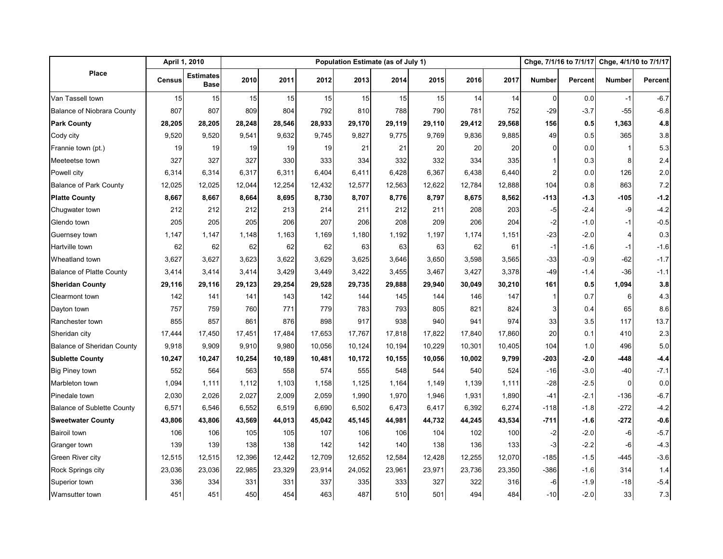|                                   |        | April 1, 2010                   |        |        | Population Estimate (as of July 1) | Chge, 7/1/16 to 7/1/17 |        | Chge, 4/1/10 to 7/1/17 |        |        |                |         |               |         |
|-----------------------------------|--------|---------------------------------|--------|--------|------------------------------------|------------------------|--------|------------------------|--------|--------|----------------|---------|---------------|---------|
| Place                             | Census | <b>Estimates</b><br><b>Base</b> | 2010   | 2011   | 2012                               | 2013                   | 2014   | 2015                   | 2016   | 2017   | <b>Number</b>  | Percent | <b>Number</b> | Percent |
| Van Tassell town                  | 15     | 15                              | 15     | 15     | 15                                 | 15                     | 15     | 15                     | 14     | 14     | $\mathbf 0$    | 0.0     | $-1$          | $-6.7$  |
| <b>Balance of Niobrara County</b> | 807    | 807                             | 809    | 804    | 792                                | 810                    | 788    | 790                    | 781    | 752    | $-29$          | $-3.7$  | $-55$         | $-6.8$  |
| <b>Park County</b>                | 28,205 | 28,205                          | 28,248 | 28,546 | 28,933                             | 29,170                 | 29,119 | 29,110                 | 29,412 | 29,568 | 156            | 0.5     | 1,363         | 4.8     |
| Cody city                         | 9,520  | 9,520                           | 9,541  | 9,632  | 9,745                              | 9,827                  | 9,775  | 9,769                  | 9,836  | 9,885  | 49             | 0.5     | 365           | 3.8     |
| Frannie town (pt.)                | 19     | 19                              | 19     | 19     | 19                                 | 21                     | 21     | 20                     | 20     | 20     | 0              | 0.0     |               | 5.3     |
| Meeteetse town                    | 327    | 327                             | 327    | 330    | 333                                | 334                    | 332    | 332                    | 334    | 335    | 1              | 0.3     | 8             | 2.4     |
| Powell city                       | 6,314  | 6,314                           | 6,317  | 6,311  | 6,404                              | 6,411                  | 6,428  | 6,367                  | 6,438  | 6,440  | $\overline{2}$ | 0.0     | 126           | 2.0     |
| <b>Balance of Park County</b>     | 12,025 | 12,025                          | 12,044 | 12,254 | 12,432                             | 12,577                 | 12,563 | 12,622                 | 12,784 | 12,888 | 104            | 0.8     | 863           | 7.2     |
| <b>Platte County</b>              | 8,667  | 8,667                           | 8,664  | 8,695  | 8,730                              | 8,707                  | 8,776  | 8,797                  | 8,675  | 8,562  | $-113$         | $-1.3$  | -105          | $-1.2$  |
| Chugwater town                    | 212    | 212                             | 212    | 213    | 214                                | 211                    | 212    | 211                    | 208    | 203    | -5             | $-2.4$  | -9            | $-4.2$  |
| Glendo town                       | 205    | 205                             | 205    | 206    | 207                                | 206                    | 208    | 209                    | 206    | 204    | $-2$           | $-1.0$  | $-1$          | $-0.5$  |
| Guernsey town                     | 1,147  | 1,147                           | 1,148  | 1,163  | 1,169                              | 1,180                  | 1,192  | 1,197                  | 1,174  | 1,151  | $-23$          | $-2.0$  | 4             | 0.3     |
| Hartville town                    | 62     | 62                              | 62     | 62     | 62                                 | 63                     | 63     | 63                     | 62     | 61     | $-1$           | $-1.6$  | $-1$          | $-1.6$  |
| Wheatland town                    | 3,627  | 3,627                           | 3,623  | 3,622  | 3,629                              | 3,625                  | 3,646  | 3,650                  | 3,598  | 3,565  | $-33$          | $-0.9$  | $-62$         | $-1.7$  |
| <b>Balance of Platte County</b>   | 3,414  | 3,414                           | 3,414  | 3,429  | 3,449                              | 3,422                  | 3,455  | 3,467                  | 3,427  | 3,378  | -49            | $-1.4$  | $-36$         | $-1.1$  |
| <b>Sheridan County</b>            | 29,116 | 29,116                          | 29,123 | 29,254 | 29,528                             | 29,735                 | 29,888 | 29,940                 | 30,049 | 30,210 | 161            | 0.5     | 1,094         | 3.8     |
| <b>Clearmont town</b>             | 142    | 141                             | 141    | 143    | 142                                | 144                    | 145    | 144                    | 146    | 147    | $\mathbf{1}$   | 0.7     | 6             | 4.3     |
| Dayton town                       | 757    | 759                             | 760    | 771    | 779                                | 783                    | 793    | 805                    | 821    | 824    | 3              | 0.4     | 65            | 8.6     |
| Ranchester town                   | 855    | 857                             | 861    | 876    | 898                                | 917                    | 938    | 940                    | 941    | 974    | 33             | 3.5     | 117           | 13.7    |
| Sheridan city                     | 17,444 | 17,450                          | 17,451 | 17,484 | 17,653                             | 17,767                 | 17,818 | 17,822                 | 17,840 | 17,860 | 20             | 0.1     | 410           | 2.3     |
| <b>Balance of Sheridan County</b> | 9,918  | 9,909                           | 9,910  | 9,980  | 10,056                             | 10,124                 | 10,194 | 10,229                 | 10,301 | 10,405 | 104            | 1.0     | 496           | 5.0     |
| <b>Sublette County</b>            | 10,247 | 10,247                          | 10,254 | 10,189 | 10,481                             | 10,172                 | 10,155 | 10,056                 | 10,002 | 9,799  | $-203$         | -2.01   | -448          | $-4.4$  |
| <b>Big Piney town</b>             | 552    | 564                             | 563    | 558    | 574                                | 555                    | 548    | 544                    | 540    | 524    | $-16$          | $-3.0$  | $-40$         | $-7.1$  |
| Marbleton town                    | 1,094  | 1,111                           | 1,112  | 1,103  | 1,158                              | 1,125                  | 1,164  | 1,149                  | 1,139  | 1,111  | $-28$          | $-2.5$  | $\Omega$      | 0.0     |
| Pinedale town                     | 2,030  | 2,026                           | 2,027  | 2,009  | 2,059                              | 1,990                  | 1,970  | 1,946                  | 1,931  | 1,890  | $-41$          | $-2.1$  | $-136$        | $-6.7$  |
| <b>Balance of Sublette County</b> | 6,571  | 6,546                           | 6,552  | 6,519  | 6,690                              | 6,502                  | 6,473  | 6,417                  | 6,392  | 6,274  | $-118$         | $-1.8$  | $-272$        | $-4.2$  |
| <b>Sweetwater County</b>          | 43,806 | 43,806                          | 43,569 | 44,013 | 45,042                             | 45,145                 | 44,981 | 44,732                 | 44,245 | 43,534 | -711           | $-1.6$  | $-272$        | -0.6    |
| <b>Bairoil town</b>               | 106    | 106                             | 105    | 105    | 107                                | 106                    | 106    | 104                    | 102    | 100    | $-2$           | $-2.0$  | -6            | $-5.7$  |
| Granger town                      | 139    | 139                             | 138    | 138    | 142                                | 142                    | 140    | 138                    | 136    | 133    | -3             | $-2.2$  | -6            | $-4.3$  |
| Green River city                  | 12,515 | 12,515                          | 12,396 | 12,442 | 12,709                             | 12,652                 | 12,584 | 12,428                 | 12,255 | 12,070 | $-185$         | $-1.5$  | -445          | $-3.6$  |
| Rock Springs city                 | 23,036 | 23,036                          | 22,985 | 23,329 | 23,914                             | 24,052                 | 23,961 | 23,971                 | 23,736 | 23,350 | $-386$         | $-1.6$  | 314           | 1.4     |
| Superior town                     | 336    | 334                             | 331    | 331    | 337                                | 335                    | 333    | 327                    | 322    | 316    | -6             | $-1.9$  | $-18$         | $-5.4$  |
| Wamsutter town                    | 451    | 451                             | 450    | 454    | 463                                | 487                    | 510    | 501                    | 494    | 484    | $-10$          | $-2.0$  | 33            | 7.3     |